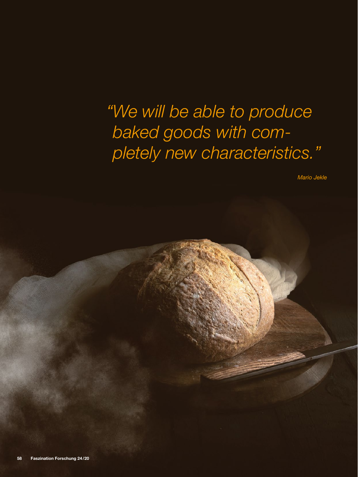## *"We will be able to produce baked goods with completely new characteristics."*

*Mario Jekle*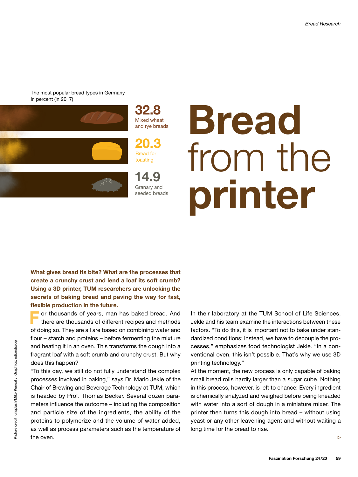The most popular bread types in Germany in percent (in 2017)



What gives bread its bite? What are the processes that create a crunchy crust and lend a loaf its soft crumb? Using a 3D printer, TUM researchers are unlocking the secrets of baking bread and paving the way for fast, flexible production in the future.

or thousands of years, man has baked bread. And there are thousands of different recipes and methods of doing so. They are all are based on combining water and flour – starch and proteins – before fermenting the mixture and heating it in an oven. This transforms the dough into a fragrant loaf with a soft crumb and crunchy crust. But why does this happen?

"To this day, we still do not fully understand the complex processes involved in baking," says Dr. Mario Jekle of the Chair of Brewing and Beverage Technology at TUM, which is headed by Prof. Thomas Becker. Several dozen parameters influence the outcome – including the composition and particle size of the ingredients, the ability of the proteins to polymerize and the volume of water added, as well as process parameters such as the temperature of the oven.

In their laboratory at the TUM School of Life Sciences, Jekle and his team examine the interactions between these factors. "To do this, it is important not to bake under standardized conditions; instead, we have to decouple the processes," emphasizes food technologist Jekle. "In a conventional oven, this isn't possible. That's why we use 3D printing technology."

At the moment, the new process is only capable of baking small bread rolls hardly larger than a sugar cube. Nothing in this process, however, is left to chance: Every ingredient is chemically analyzed and weighed before being kneaded with water into a sort of dough in a miniature mixer. The printer then turns this dough into bread – without using yeast or any other leavening agent and without waiting a long time for the bread to rise.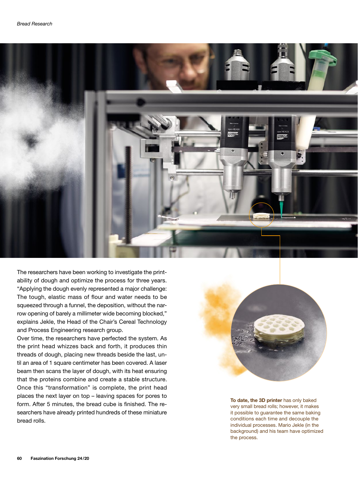

The researchers have been working to investigate the printability of dough and optimize the process for three years. "Applying the dough evenly represented a major challenge: The tough, elastic mass of flour and water needs to be squeezed through a funnel, the deposition, without the narrow opening of barely a millimeter wide becoming blocked," explains Jekle, the Head of the Chair's Cereal Technology and Process Engineering research group.

Over time, the researchers have perfected the system. As the print head whizzes back and forth, it produces thin threads of dough, placing new threads beside the last, until an area of 1 square centimeter has been covered. A laser beam then scans the layer of dough, with its heat ensuring that the proteins combine and create a stable structure. Once this "transformation" is complete, the print head places the next layer on top – leaving spaces for pores to form. After 5 minutes, the bread cube is finished. The researchers have already printed hundreds of these miniature bread rolls.

To date, the 3D printer has only baked very small bread rolls; however, it makes it possible to guarantee the same baking conditions each time and decouple the individual processes. Mario Jekle (in the background) and his team have optimized the process.